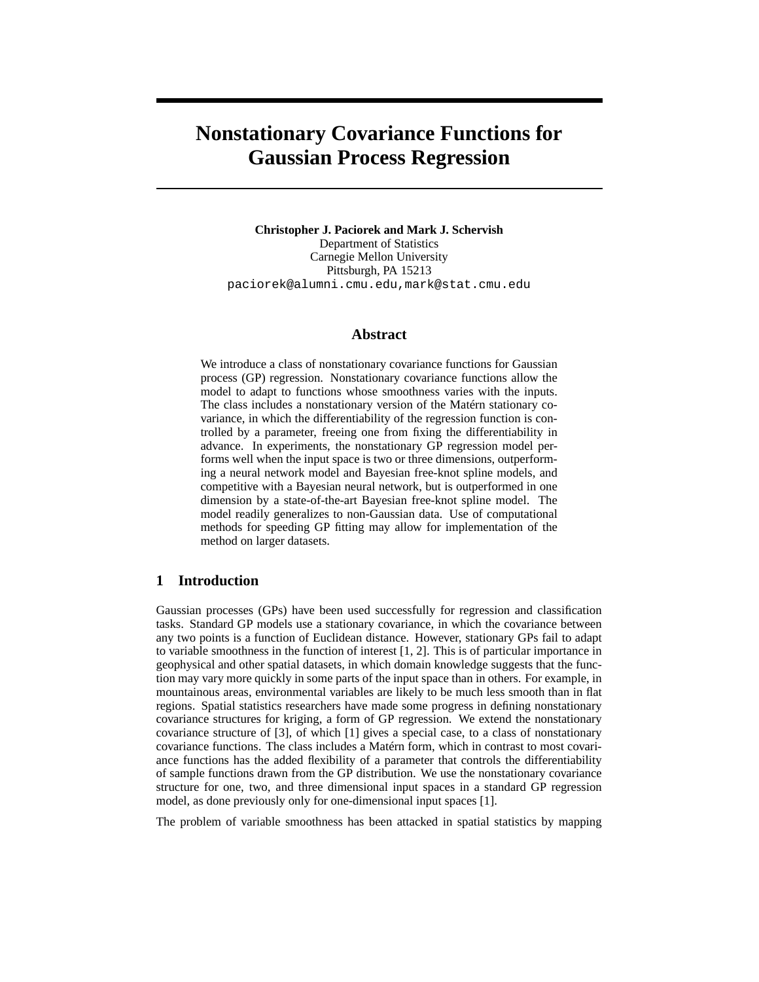# **Nonstationary Covariance Functions for Gaussian Process Regression**

**Christopher J. Paciorek and Mark J. Schervish** Department of Statistics Carnegie Mellon University Pittsburgh, PA 15213 paciorek@alumni.cmu.edu,mark@stat.cmu.edu

#### **Abstract**

We introduce a class of nonstationary covariance functions for Gaussian process (GP) regression. Nonstationary covariance functions allow the model to adapt to functions whose smoothness varies with the inputs. The class includes a nonstationary version of the Matérn stationary covariance, in which the differentiability of the regression function is controlled by a parameter, freeing one from fixing the differentiability in advance. In experiments, the nonstationary GP regression model performs well when the input space is two or three dimensions, outperforming a neural network model and Bayesian free-knot spline models, and competitive with a Bayesian neural network, but is outperformed in one dimension by a state-of-the-art Bayesian free-knot spline model. The model readily generalizes to non-Gaussian data. Use of computational methods for speeding GP fitting may allow for implementation of the method on larger datasets.

## **1 Introduction**

Gaussian processes (GPs) have been used successfully for regression and classification tasks. Standard GP models use a stationary covariance, in which the covariance between any two points is a function of Euclidean distance. However, stationary GPs fail to adapt to variable smoothness in the function of interest [1, 2]. This is of particular importance in geophysical and other spatial datasets, in which domain knowledge suggests that the function may vary more quickly in some parts of the input space than in others. For example, in mountainous areas, environmental variables are likely to be much less smooth than in flat regions. Spatial statistics researchers have made some progress in defining nonstationary covariance structures for kriging, a form of GP regression. We extend the nonstationary covariance structure of [3], of which [1] gives a special case, to a class of nonstationary covariance functions. The class includes a Matérn form, which in contrast to most covariance functions has the added flexibility of a parameter that controls the differentiability of sample functions drawn from the GP distribution. We use the nonstationary covariance structure for one, two, and three dimensional input spaces in a standard GP regression model, as done previously only for one-dimensional input spaces [1].

The problem of variable smoothness has been attacked in spatial statistics by mapping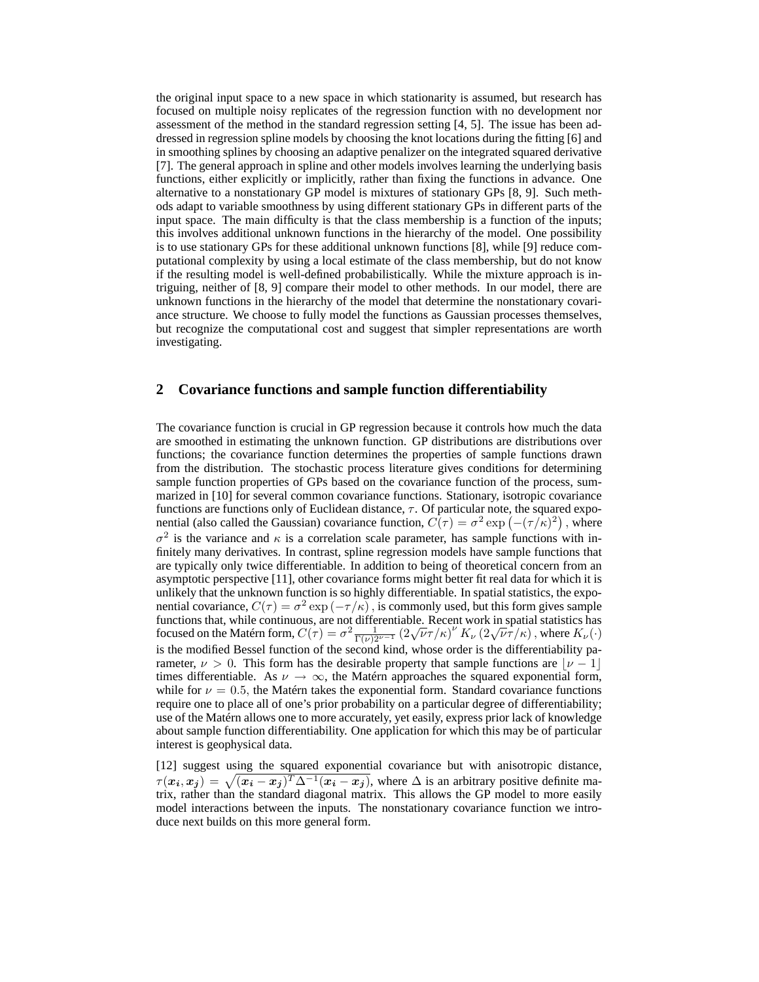the original input space to a new space in which stationarity is assumed, but research has focused on multiple noisy replicates of the regression function with no development nor assessment of the method in the standard regression setting [4, 5]. The issue has been addressed in regression spline models by choosing the knot locations during the fitting [6] and in smoothing splines by choosing an adaptive penalizer on the integrated squared derivative [7]. The general approach in spline and other models involves learning the underlying basis functions, either explicitly or implicitly, rather than fixing the functions in advance. One alternative to a nonstationary GP model is mixtures of stationary GPs [8, 9]. Such methods adapt to variable smoothness by using different stationary GPs in different parts of the input space. The main difficulty is that the class membership is a function of the inputs; this involves additional unknown functions in the hierarchy of the model. One possibility is to use stationary GPs for these additional unknown functions [8], while [9] reduce computational complexity by using a local estimate of the class membership, but do not know if the resulting model is well-defined probabilistically. While the mixture approach is intriguing, neither of [8, 9] compare their model to other methods. In our model, there are unknown functions in the hierarchy of the model that determine the nonstationary covariance structure. We choose to fully model the functions as Gaussian processes themselves, but recognize the computational cost and suggest that simpler representations are worth investigating.

#### **2 Covariance functions and sample function differentiability**

The covariance function is crucial in GP regression because it controls how much the data are smoothed in estimating the unknown function. GP distributions are distributions over functions; the covariance function determines the properties of sample functions drawn from the distribution. The stochastic process literature gives conditions for determining sample function properties of GPs based on the covariance function of the process, summarized in [10] for several common covariance functions. Stationary, isotropic covariance functions are functions only of Euclidean distance,  $\tau$ . Of particular note, the squared exponential (also called the Gaussian) covariance function,  $\vec{C(\tau)} = \sigma^2 \exp(-(\tau/\kappa)^2)$ , where  $\sigma^2$  is the variance and  $\kappa$  is a correlation scale parameter, has sample functions with infinitely many derivatives. In contrast, spline regression models have sample functions that are typically only twice differentiable. In addition to being of theoretical concern from an asymptotic perspective [11], other covariance forms might better fit real data for which it is unlikely that the unknown function is so highly differentiable. In spatial statistics, the exponential covariance,  $C(\tau) = \sigma^2 \exp(-\tau/\kappa)$ , is commonly used, but this form gives sample functions that, while continuous, are not differentiable. Recent work in spatial statistics has focused on the Matérn form,  $C(\tau) = \sigma^2 \frac{1}{\Gamma(\nu)2^{\nu-1}} \left(2\sqrt{\nu}\tau/\kappa\right)^{\nu} K_{\nu} \left(2\sqrt{\nu}\tau/\kappa\right)$ , where  $K_{\nu}(\cdot)$ is the modified Bessel function of the second kind, whose order is the differentiability parameter,  $\nu > 0$ . This form has the desirable property that sample functions are  $|\nu - 1|$ times differentiable. As  $\nu \to \infty$ , the Matérn approaches the squared exponential form, while for  $\nu = 0.5$ , the Matérn takes the exponential form. Standard covariance functions require one to place all of one's prior probability on a particular degree of differentiability; use of the Matérn allows one to more accurately, yet easily, express prior lack of knowledge about sample function differentiability. One application for which this may be of particular interest is geophysical data.

[12] suggest using the squared exponential covariance but with anisotropic distance,  $\tau(x_i, x_j) = \sqrt{(x_i - x_j)^T \Delta^{-1}(x_i - x_j)}$ , where  $\Delta$  is an arbitrary positive definite matrix, rather than the standard diagonal matrix. This allows the GP model to more easily model interactions between the inputs. The nonstationary covariance function we introduce next builds on this more general form.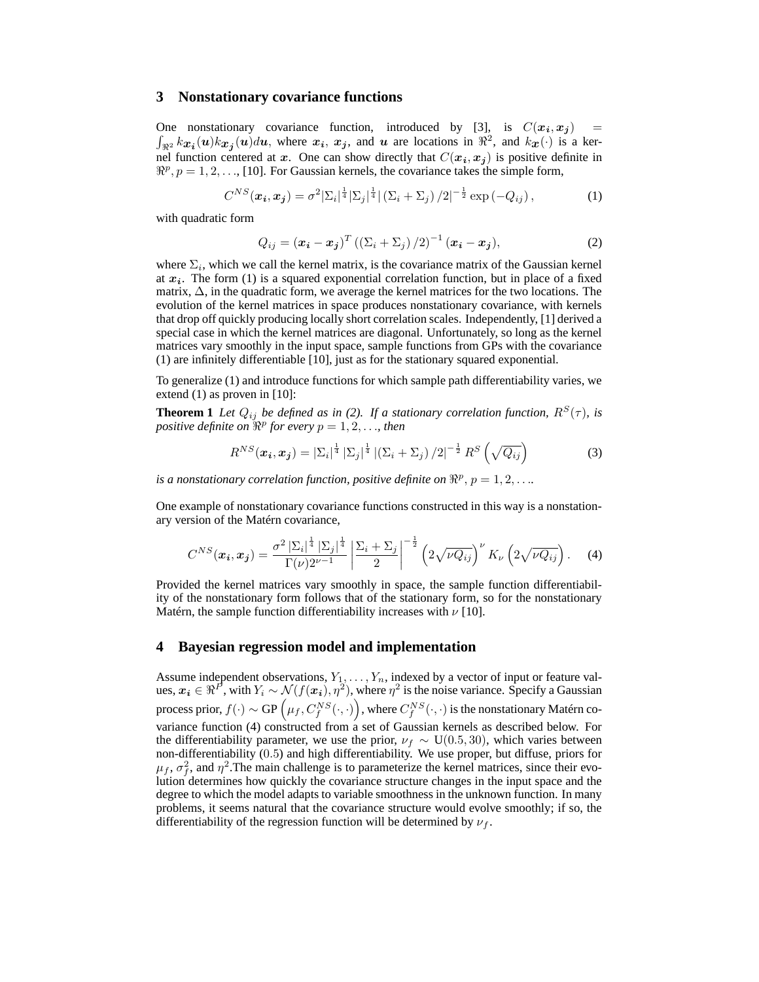#### **3 Nonstationary covariance functions**

One nonstationary covariance function, introduced by [3], is  $C(x_i, x_j)$  =  $\int_{\Re^2} kx_i(u)kx_j(u)du$ , where  $x_i$ ,  $x_j$ , and  $u$  are locations in  $\Re^2$ , and  $kx(\cdot)$  is a kernel function centered at x. One can show directly that  $C(x_i, x_j)$  is positive definite in  $\mathbb{R}^p$ ,  $p = 1, 2, \ldots$ , [10]. For Gaussian kernels, the covariance takes the simple form,

$$
C^{NS}(\boldsymbol{x_i}, \boldsymbol{x_j}) = \sigma^2 |\Sigma_i|^{\frac{1}{4}} |\Sigma_j|^{\frac{1}{4}} |(\Sigma_i + \Sigma_j) / 2|^{-\frac{1}{2}} \exp(-Q_{ij}), \qquad (1)
$$

with quadratic form

$$
Q_{ij} = (\boldsymbol{x_i} - \boldsymbol{x_j})^T \left( \left( \Sigma_i + \Sigma_j \right) / 2 \right)^{-1} (\boldsymbol{x_i} - \boldsymbol{x_j}), \tag{2}
$$

where  $\Sigma_i$ , which we call the kernel matrix, is the covariance matrix of the Gaussian kernel at  $x_i$ . The form (1) is a squared exponential correlation function, but in place of a fixed matrix, ∆, in the quadratic form, we average the kernel matrices for the two locations. The evolution of the kernel matrices in space produces nonstationary covariance, with kernels that drop off quickly producing locally short correlation scales. Independently, [1] derived a special case in which the kernel matrices are diagonal. Unfortunately, so long as the kernel matrices vary smoothly in the input space, sample functions from GPs with the covariance (1) are infinitely differentiable [10], just as for the stationary squared exponential.

To generalize (1) and introduce functions for which sample path differentiability varies, we extend (1) as proven in [10]:

**Theorem 1** *Let*  $Q_{ij}$  *be defined as in (2). If a stationary correlation function,*  $R^{S}(\tau)$ *, is positive definite on*  $\mathbb{R}^p$  *for every*  $p = 1, 2, \ldots$ *, then* 

$$
R^{NS}(\boldsymbol{x_i}, \boldsymbol{x_j}) = |\Sigma_i|^{\frac{1}{4}} |\Sigma_j|^{\frac{1}{4}} |(\Sigma_i + \Sigma_j) / 2|^{-\frac{1}{2}} R^S \left( \sqrt{Q_{ij}} \right)
$$
(3)

*is a nonstationary correlation function, positive definite on*  $\mathbb{R}^p$ ,  $p = 1, 2, \ldots$ 

One example of nonstationary covariance functions constructed in this way is a nonstationary version of the Matérn covariance,

$$
C^{NS}(\boldsymbol{x_i}, \boldsymbol{x_j}) = \frac{\sigma^2 |\Sigma_i|^{\frac{1}{4}} |\Sigma_j|^{\frac{1}{4}}}{\Gamma(\nu)2^{\nu-1}} \left| \frac{\Sigma_i + \Sigma_j}{2} \right|^{-\frac{1}{2}} \left( 2\sqrt{\nu Q_{ij}} \right)^{\nu} K_{\nu} \left( 2\sqrt{\nu Q_{ij}} \right). \tag{4}
$$

Provided the kernel matrices vary smoothly in space, the sample function differentiability of the nonstationary form follows that of the stationary form, so for the nonstationary Matérn, the sample function differentiability increases with  $\nu$  [10].

#### **4 Bayesian regression model and implementation**

Assume independent observations,  $Y_1, \ldots, Y_n$ , indexed by a vector of input or feature values,  $x_i \in \Re^P$ , with  $Y_i \sim \mathcal{N}(f(x_i), \eta^2)$ , where  $\eta^2$  is the noise variance. Specify a Gaussian process prior,  $f(\cdot)\sim \text{GP}\left(\mu_f,C_f^{NS}(\cdot,\cdot)\right)$ , where  $C_f^{NS}(\cdot,\cdot)$  is the nonstationary Matérn covariance function (4) constructed from a set of Gaussian kernels as described below. For the differentiability parameter, we use the prior,  $\nu_f \sim U(0.5, 30)$ , which varies between non-differentiability (0.5) and high differentiability. We use proper, but diffuse, priors for  $\mu_f$ ,  $\sigma_f^2$ , and  $\eta^2$ . The main challenge is to parameterize the kernel matrices, since their evolution determines how quickly the covariance structure changes in the input space and the degree to which the model adapts to variable smoothness in the unknown function. In many problems, it seems natural that the covariance structure would evolve smoothly; if so, the differentiability of the regression function will be determined by  $\nu_f$ .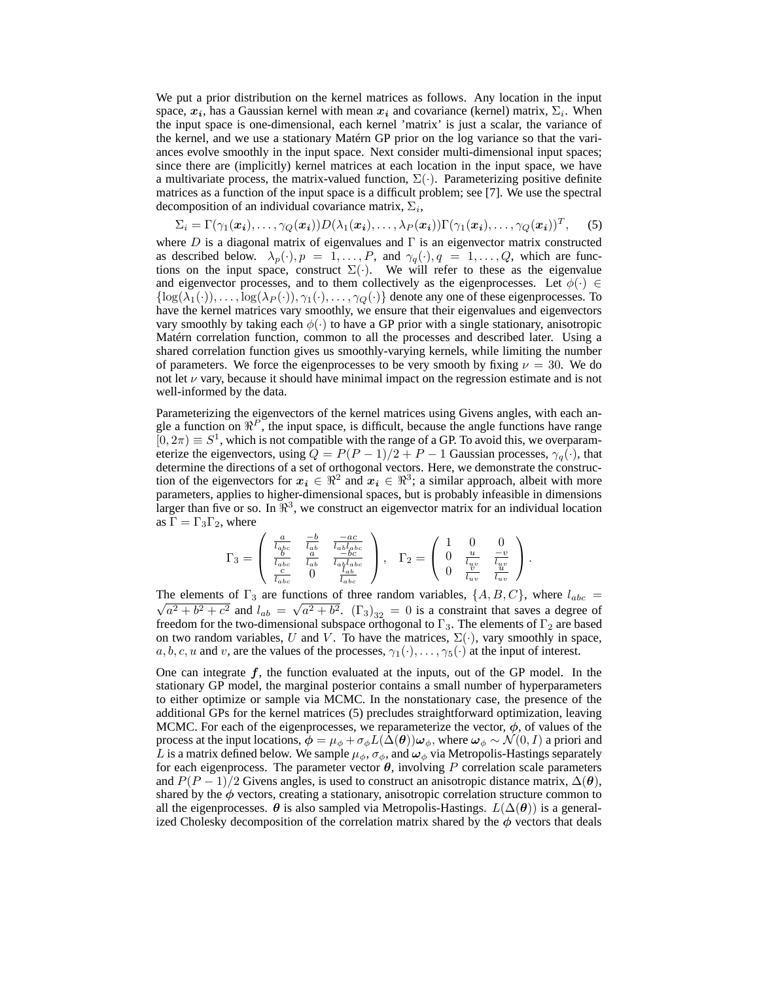We put a prior distribution on the kernel matrices as follows. Any location in the input space,  $x_i$ , has a Gaussian kernel with mean  $x_i$  and covariance (kernel) matrix,  $\Sigma_i$ . When the input space is one-dimensional, each kernel 'matrix' is just a scalar, the variance of the kernel, and we use a stationary Matérn GP prior on the log variance so that the variances evolve smoothly in the input space. Next consider multi-dimensional input spaces; since there are (implicitly) kernel matrices at each location in the input space, we have a multivariate process, the matrix-valued function,  $\Sigma(\cdot)$ . Parameterizing positive definite matrices as a function of the input space is a difficult problem; see [7]. We use the spectral decomposition of an individual covariance matrix,  $\Sigma_i$ ,

$$
\Sigma_i = \Gamma(\gamma_1(\boldsymbol{x_i}), \dots, \gamma_Q(\boldsymbol{x_i})) D(\lambda_1(\boldsymbol{x_i}), \dots, \lambda_P(\boldsymbol{x_i})) \Gamma(\gamma_1(\boldsymbol{x_i}), \dots, \gamma_Q(\boldsymbol{x_i}))^T, \quad (5)
$$

where D is a diagonal matrix of eigenvalues and  $\Gamma$  is an eigenvector matrix constructed as described below.  $\lambda_p(\cdot), p = 1, \ldots, P$ , and  $\gamma_q(\cdot), q = 1, \ldots, Q$ , which are functions on the input space, construct  $\Sigma(\cdot)$ . We will refer to these as the eigenvalue and eigenvector processes, and to them collectively as the eigenprocesses. Let  $\phi(\cdot) \in$  $\{\log(\lambda_1(\cdot)), \ldots, \log(\lambda_P(\cdot)), \gamma_1(\cdot), \ldots, \gamma_Q(\cdot)\}\$  denote any one of these eigenprocesses. To have the kernel matrices vary smoothly, we ensure that their eigenvalues and eigenvectors vary smoothly by taking each  $\phi(\cdot)$  to have a GP prior with a single stationary, anisotropic Matérn correlation function, common to all the processes and described later. Using a shared correlation function gives us smoothly-varying kernels, while limiting the number of parameters. We force the eigenprocesses to be very smooth by fixing  $\nu = 30$ . We do not let  $\nu$  vary, because it should have minimal impact on the regression estimate and is not well-informed by the data.

Parameterizing the eigenvectors of the kernel matrices using Givens angles, with each angle a function on  $\mathbb{R}^P$ , the input space, is difficult, because the angle functions have range  $[0, 2\pi) \equiv S^1$ , which is not compatible with the range of a GP. To avoid this, we overparameterize the eigenvectors, using  $Q = P(P-1)/2 + P - 1$  Gaussian processes,  $\gamma_q(\cdot)$ , that determine the directions of a set of orthogonal vectors. Here, we demonstrate the construction of the eigenvectors for  $x_i \in \mathbb{R}^2$  and  $x_i \in \mathbb{R}^3$ ; a similar approach, albeit with more parameters, applies to higher-dimensional spaces, but is probably infeasible in dimensions larger than five or so. In  $\mathbb{R}^3$ , we construct an eigenvector matrix for an individual location as  $\Gamma = \Gamma_3 \Gamma_2$ , where

$$
\Gamma_3=\left(\begin{array}{ccc} \frac{a}{l_{abc}}&\frac{-b}{l_{ab}}&\frac{-ac}{l_{ab}l_{abc}}\\ \frac{b}{l_{abc}}&\frac{a}{l_{ab}}&\frac{-bc}{l_{ab}l_{abc}}\\ \frac{c}{l_{abc}}&0&\frac{l_{ab}}{l_{abc}}\end{array}\right),\quad \Gamma_2=\left(\begin{array}{ccc} 1&0&0\\ 0&\frac{u}{l_{uv}}&\frac{-v}{l_{uv}}\\ 0&\frac{v}{l_{uv}}&\frac{u}{l_{uv}}\end{array}\right).
$$

The elements of  $\Gamma_3$  are functions of three random variables,  $\{A, B, C\}$ , where  $l_{abc}$  $a^2 + b^2 + c^2$  and  $l_{ab} = \sqrt{a^2 + b^2}$ .  $(\Gamma_3)_{32} = 0$  is a constraint that saves a degree of freedom for the two-dimensional subspace orthogonal to  $\Gamma_3$ . The elements of  $\Gamma_2$  are based on two random variables, U and V. To have the matrices,  $\Sigma(\cdot)$ , vary smoothly in space,  $a, b, c, u$  and v, are the values of the processes,  $\gamma_1(\cdot), \dots, \gamma_5(\cdot)$  at the input of interest.

One can integrate  $f$ , the function evaluated at the inputs, out of the GP model. In the stationary GP model, the marginal posterior contains a small number of hyperparameters to either optimize or sample via MCMC. In the nonstationary case, the presence of the additional GPs for the kernel matrices (5) precludes straightforward optimization, leaving MCMC. For each of the eigenprocesses, we reparameterize the vector,  $\phi$ , of values of the process at the input locations,  $\phi = \mu_{\phi} + \sigma_{\phi} L(\Delta(\theta)) \omega_{\phi}$ , where  $\omega_{\phi} \sim \mathcal{N}(0, I)$  a priori and L is a matrix defined below. We sample  $\mu_{\phi}$ ,  $\sigma_{\phi}$ , and  $\omega_{\phi}$  via Metropolis-Hastings separately for each eigenprocess. The parameter vector  $\theta$ , involving P correlation scale parameters and  $P(P-1)/2$  Givens angles, is used to construct an anisotropic distance matrix,  $\Delta(\theta)$ , shared by the  $\phi$  vectors, creating a stationary, anisotropic correlation structure common to all the eigenprocesses.  $\theta$  is also sampled via Metropolis-Hastings.  $L(\Delta(\theta))$  is a generalized Cholesky decomposition of the correlation matrix shared by the  $\phi$  vectors that deals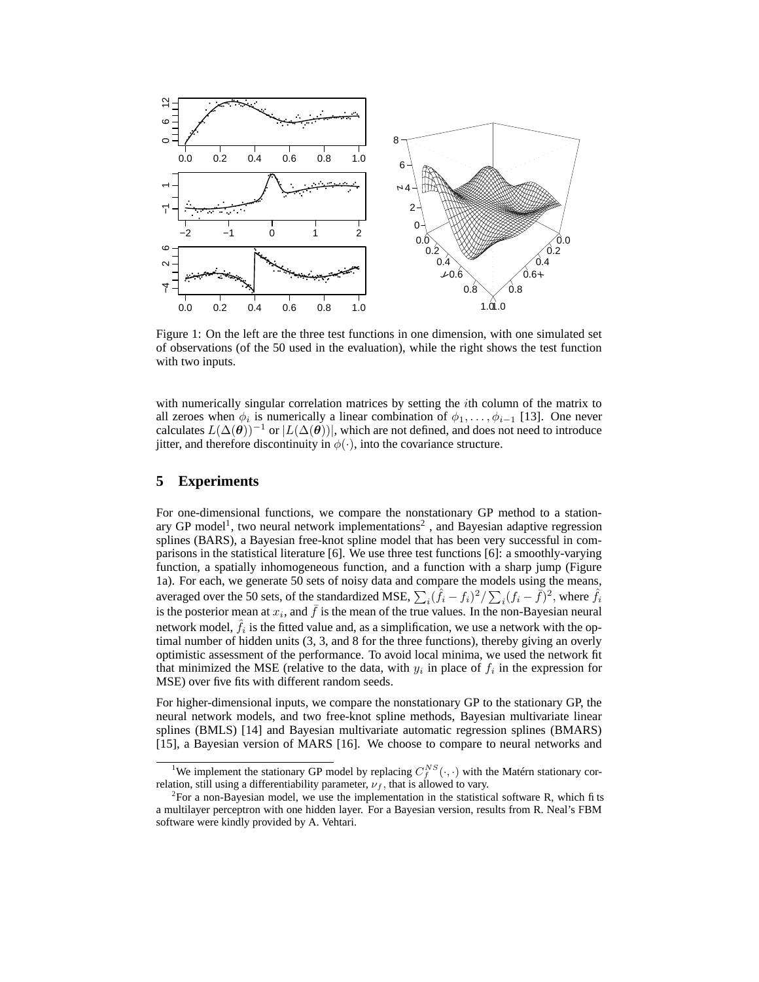

Figure 1: On the left are the three test functions in one dimension, with one simulated set of observations (of the 50 used in the evaluation), while the right shows the test function with two inputs.

with numerically singular correlation matrices by setting the *i*th column of the matrix to all zeroes when  $\phi_i$  is numerically a linear combination of  $\phi_1, \ldots, \phi_{i-1}$  [13]. One never calculates  $L(\Delta(\theta))^{-1}$  or  $|L(\Delta(\theta))|$ , which are not defined, and does not need to introduce jitter, and therefore discontinuity in  $\phi(\cdot)$ , into the covariance structure.

#### **5 Experiments**

For one-dimensional functions, we compare the nonstationary GP method to a stationary GP model<sup>1</sup>, two neural network implementations<sup>2</sup>, and Bayesian adaptive regression splines (BARS), a Bayesian free-knot spline model that has been very successful in comparisons in the statistical literature [6]. We use three test functions [6]: a smoothly-varying function, a spatially inhomogeneous function, and a function with a sharp jump (Figure 1a). For each, we generate 50 sets of noisy data and compare the models using the means, averaged over the 50 sets, of the standardized MSE,  $\sum_i(\hat{f}_i - f_i)^2 / \sum_i(f_i - \bar{f})^2$ , where  $\hat{f}_i$ is the posterior mean at  $x_i$ , and  $\bar{f}$  is the mean of the true values. In the non-Bayesian neural network model,  $\hat{f}_i$  is the fitted value and, as a simplification, we use a network with the optimal number of hidden units (3, 3, and 8 for the three functions), thereby giving an overly optimistic assessment of the performance. To avoid local minima, we used the network fit that minimized the MSE (relative to the data, with  $y_i$  in place of  $f_i$  in the expression for MSE) over five fits with different random seeds.

For higher-dimensional inputs, we compare the nonstationary GP to the stationary GP, the neural network models, and two free-knot spline methods, Bayesian multivariate linear splines (BMLS) [14] and Bayesian multivariate automatic regression splines (BMARS) [15], a Bayesian version of MARS [16]. We choose to compare to neural networks and

<sup>&</sup>lt;sup>1</sup>We implement the stationary GP model by replacing  $C_f^{NS}(\cdot, \cdot)$  with the Matérn stationary correlation, still using a differentiability parameter,  $\nu_f$ , that is allowed to vary.

<sup>&</sup>lt;sup>2</sup> For a non-Bayesian model, we use the implementation in the statistical software R, which fits a multilayer perceptron with one hidden layer. For a Bayesian version, results from R. Neal's FBM software were kindly provided by A. Vehtari.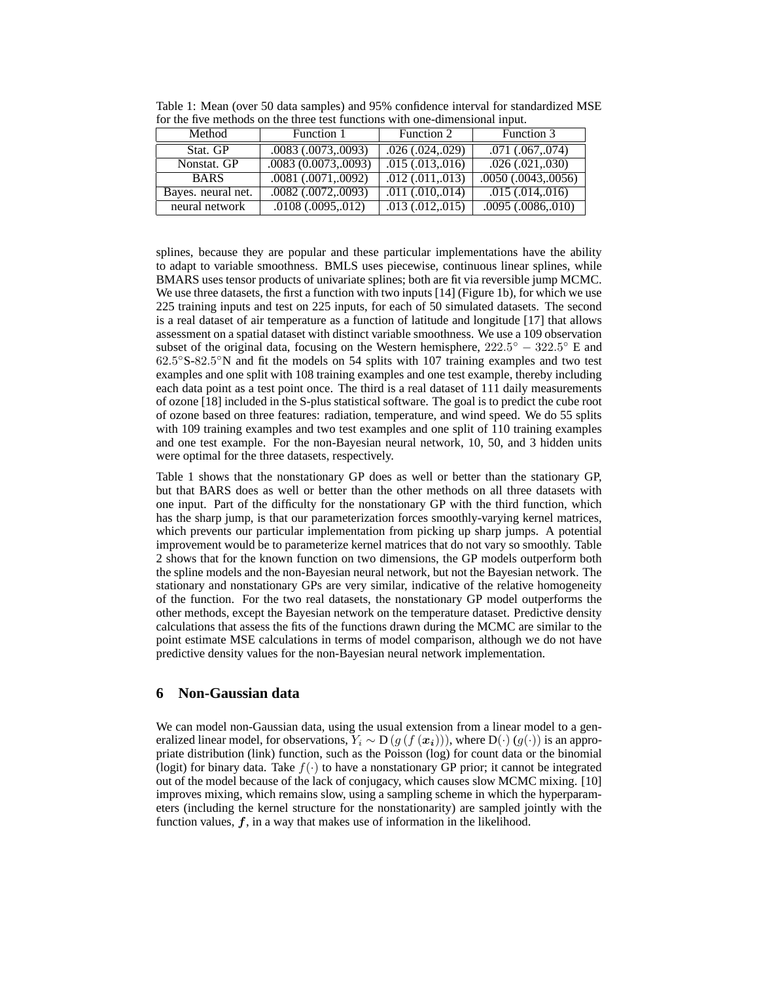| 191 010 1170 111001900 911 010 01100 0000 1011001910 77101 9110 011110119191101 111000 |                          |                       |                          |  |
|----------------------------------------------------------------------------------------|--------------------------|-----------------------|--------------------------|--|
| Method                                                                                 | Function 1               | Function 2            | Function 3               |  |
| Stat. GP                                                                               | $.0083$ $(.0073, .0093)$ | .026(.024,.029)       | $.071$ $(.067, .074)$    |  |
| Nonstat. GP                                                                            | .0083(0.0073, .0093)     | .015(.013, .016)      | .026(.021, .030)         |  |
| <b>BARS</b>                                                                            | .0081(.0071, .0092)      | $.012 \,(.011, .013)$ | $.0050$ $(.0043, .0056)$ |  |
| Bayes. neural net.                                                                     | .0082 (.0072,.0093)      | $.011 \,(.010, .014)$ | .015(.014, .016)         |  |
| neural network                                                                         | .0108(.0095,.012)        | .013(.012,.015)       | .0095(.0086,.010)        |  |

Table 1: Mean (over 50 data samples) and 95% confidence interval for standardized MSE for the five methods on the three test functions with one-dimensional input.

splines, because they are popular and these particular implementations have the ability to adapt to variable smoothness. BMLS uses piecewise, continuous linear splines, while BMARS uses tensor products of univariate splines; both are fit via reversible jump MCMC. We use three datasets, the first a function with two inputs [14] (Figure 1b), for which we use 225 training inputs and test on 225 inputs, for each of 50 simulated datasets. The second is a real dataset of air temperature as a function of latitude and longitude [17] that allows assessment on a spatial dataset with distinct variable smoothness. We use a 109 observation subset of the original data, focusing on the Western hemisphere,  $222.5^{\circ} - 322.5^{\circ}$  E and 62.5 ◦S-82.5 ◦N and fit the models on 54 splits with 107 training examples and two test examples and one split with 108 training examples and one test example, thereby including each data point as a test point once. The third is a real dataset of 111 daily measurements of ozone [18] included in the S-plus statistical software. The goal is to predict the cube root of ozone based on three features: radiation, temperature, and wind speed. We do 55 splits with 109 training examples and two test examples and one split of 110 training examples and one test example. For the non-Bayesian neural network, 10, 50, and 3 hidden units were optimal for the three datasets, respectively.

Table 1 shows that the nonstationary GP does as well or better than the stationary GP, but that BARS does as well or better than the other methods on all three datasets with one input. Part of the difficulty for the nonstationary GP with the third function, which has the sharp jump, is that our parameterization forces smoothly-varying kernel matrices, which prevents our particular implementation from picking up sharp jumps. A potential improvement would be to parameterize kernel matrices that do not vary so smoothly. Table 2 shows that for the known function on two dimensions, the GP models outperform both the spline models and the non-Bayesian neural network, but not the Bayesian network. The stationary and nonstationary GPs are very similar, indicative of the relative homogeneity of the function. For the two real datasets, the nonstationary GP model outperforms the other methods, except the Bayesian network on the temperature dataset. Predictive density calculations that assess the fits of the functions drawn during the MCMC are similar to the point estimate MSE calculations in terms of model comparison, although we do not have predictive density values for the non-Bayesian neural network implementation.

## **6 Non-Gaussian data**

We can model non-Gaussian data, using the usual extension from a linear model to a generalized linear model, for observations,  $Y_i \sim D(g(f(\mathbf{x_i})))$ , where  $D(\cdot)(g(\cdot))$  is an appropriate distribution (link) function, such as the Poisson (log) for count data or the binomial (logit) for binary data. Take  $f(\cdot)$  to have a nonstationary GP prior; it cannot be integrated out of the model because of the lack of conjugacy, which causes slow MCMC mixing. [10] improves mixing, which remains slow, using a sampling scheme in which the hyperparameters (including the kernel structure for the nonstationarity) are sampled jointly with the function values,  $f$ , in a way that makes use of information in the likelihood.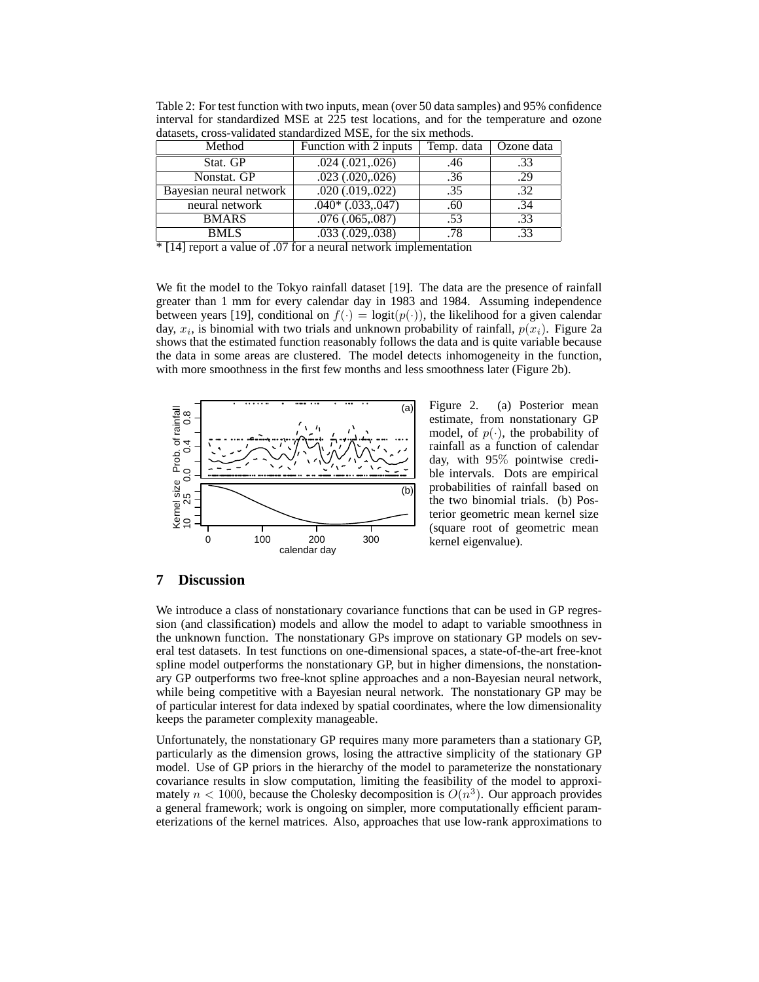| aanascas, cross vanaaled suunaaraized mists, ror uie six methods. |                        |            |            |  |  |
|-------------------------------------------------------------------|------------------------|------------|------------|--|--|
| Method                                                            | Function with 2 inputs | Temp. data | Ozone data |  |  |
| Stat. GP                                                          | $.024$ $(.021, .026)$  | .46        | .33        |  |  |
| Nonstat. GP                                                       | $.023$ $(.020, .026)$  | .36        | .29        |  |  |
| Bayesian neural network                                           | $.020$ $(.019, .022)$  | .35        | .32        |  |  |
| neural network                                                    | $.040*(.033, .047)$    | .60        | .34        |  |  |
| <b>BMARS</b>                                                      | .076(.065,.087)        | .53        | .33        |  |  |
| <b>BMLS</b>                                                       | $.033$ $(.029, .038)$  | .78        | .33        |  |  |

Table 2: For test function with two inputs, mean (over 50 data samples) and 95% confidence interval for standardized MSE at 225 test locations, and for the temperature and ozone datasets, cross-validated standardized MSE, for the six methods.

 $*$  [14] report a value of .07 for a neural network implementation

We fit the model to the Tokyo rainfall dataset [19]. The data are the presence of rainfall greater than 1 mm for every calendar day in 1983 and 1984. Assuming independence between years [19], conditional on  $f(\cdot) = \text{logit}(p(\cdot))$ , the likelihood for a given calendar day,  $x_i$ , is binomial with two trials and unknown probability of rainfall,  $p(x_i)$ . Figure 2a shows that the estimated function reasonably follows the data and is quite variable because the data in some areas are clustered. The model detects inhomogeneity in the function, with more smoothness in the first few months and less smoothness later (Figure 2b).



Figure 2. (a) Posterior mean estimate, from nonstationary GP model, of  $p(\cdot)$ , the probability of rainfall as a function of calendar day, with 95% pointwise credible intervals. Dots are empirical probabilities of rainfall based on the two binomial trials. (b) Posterior geometric mean kernel size (square root of geometric mean kernel eigenvalue).

### **7 Discussion**

We introduce a class of nonstationary covariance functions that can be used in GP regression (and classification) models and allow the model to adapt to variable smoothness in the unknown function. The nonstationary GPs improve on stationary GP models on several test datasets. In test functions on one-dimensional spaces, a state-of-the-art free-knot spline model outperforms the nonstationary GP, but in higher dimensions, the nonstationary GP outperforms two free-knot spline approaches and a non-Bayesian neural network, while being competitive with a Bayesian neural network. The nonstationary GP may be of particular interest for data indexed by spatial coordinates, where the low dimensionality keeps the parameter complexity manageable.

Unfortunately, the nonstationary GP requires many more parameters than a stationary GP, particularly as the dimension grows, losing the attractive simplicity of the stationary GP model. Use of GP priors in the hierarchy of the model to parameterize the nonstationary covariance results in slow computation, limiting the feasibility of the model to approximately  $n < 1000$ , because the Cholesky decomposition is  $O(n^3)$ . Our approach provides a general framework; work is ongoing on simpler, more computationally efficient parameterizations of the kernel matrices. Also, approaches that use low-rank approximations to